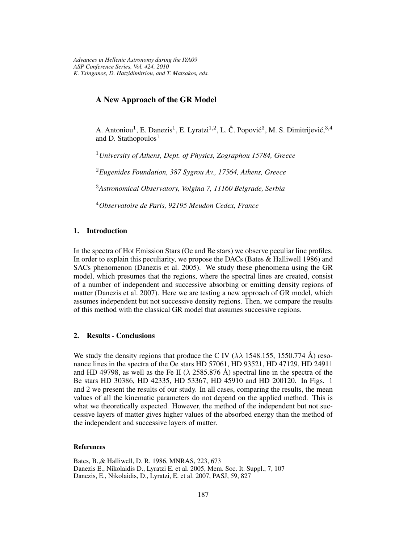## **A New Approach of the GR Model**

A. Antoniou<sup>1</sup>, E. Danezis<sup>1</sup>, E. Lyratzi<sup>1,2</sup>, L. Č. Popović<sup>3</sup>, M. S. Dimitrijević,  $3,4$ and D. Stathopoulos $<sup>1</sup>$ </sup>

<sup>1</sup>*University of Athens, Dept. of Physics, Zographou 15784, Greece*

<sup>2</sup>*Eugenides Foundation, 387 Sygrou Av., 17564, Athens, Greece*

<sup>3</sup>*Astronomical Observatory, Volgina 7, 11160 Belgrade, Serbia*

<sup>4</sup>*Observatoire de Paris, 92195 Meudon Cedex, France*

## **1. Introduction**

In the spectra of Hot Emission Stars (Oe and Be stars) we observe peculiar line profiles. In order to explain this peculiarity, we propose the DACs (Bates & Halliwell 1986) and SACs phenomenon (Danezis et al. 2005). We study these phenomena using the GR model, which presumes that the regions, where the spectral lines are created, consist of a number of independent and successive absorbing or emitting density regions of matter (Danezis et al. 2007). Here we are testing a new approach of GR model, which assumes independent but not successive density regions. Then, we compare the results of this method with the classical GR model that assumes successive regions.

## **2. Results - Conclusions**

We study the density regions that produce the C IV  $(\lambda \lambda)$  1548.155, 1550.774 Å) resonance lines in the spectra of the Oe stars HD 57061, HD 93521, HD 47129, HD 24911 and HD 49798, as well as the Fe II ( $\lambda$  2585.876 Å) spectral line in the spectra of the Be stars HD 30386, HD 42335, HD 53367, HD 45910 and HD 200120. In Figs. 1 and 2 we present the results of our study. In all cases, comparing the results, the mean values of all the kinematic parameters do not depend on the applied method. This is what we theoretically expected. However, the method of the independent but not successive layers of matter gives higher values of the absorbed energy than the method of the independent and successive layers of matter.

## **References**

Bates, B.,& Halliwell, D. R. 1986, MNRAS, 223, 673 Danezis E., Nikolaidis D., Lyratzi E. et al. 2005, Mem. Soc. It. Suppl., 7, 107 Danezis, E., Nikolaidis, D., Lyratzi, E. et al. 2007, PASJ, 59, 827